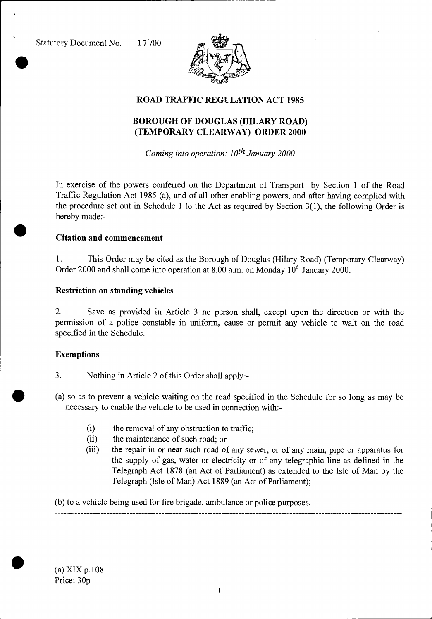Statutory Document No. 17 /00



## **ROAD TRAFFIC REGULATION ACT 1985**

# **BOROUGH OF DOUGLAS (HILARY ROAD) (TEMPORARY CLEARWAY) ORDER 2000**

*Coming into operation: 10th January 2000* 

In exercise of the powers conferred on the Department of Transport by Section 1 of the Road Traffic Regulation Act 1985 (a), and of all other enabling powers, and after having complied with the procedure set out in Schedule 1 to the Act as required by Section 3(1), the following Order is hereby made:-

#### **Citation and commencement**

1. This Order may be cited as the Borough of Douglas (Hilary Road) (Temporary Clearway) Order 2000 and shall come into operation at 8.00 a.m. on Monday  $10<sup>th</sup>$  January 2000.

### **Restriction on standing vehicles**

2. Save as provided in Article 3 no person shall, except upon the direction or with the permission of a police constable in uniform, cause or permit any vehicle to wait on the road specified in the Schedule.

#### **Exemptions**

- 3. Nothing in Article 2 of this Order shall apply:-
- (a) so as to prevent a vehicle waiting on the road specified in the Schedule for so long as may be necessary to enable the vehicle to be used in connection with:-
	- (i) the removal of any obstruction to traffic;<br>(ii) the maintenance of such road; or
	- the maintenance of such road; or
	- (iii) the repair in or near such road of any sewer, or of any main, pipe or apparatus for the supply of gas, water or electricity or of any telegraphic line as defined in the Telegraph Act 1878 (an Act of Parliament) as extended to the Isle of Man by the Telegraph (Isle of Man) Act 1889 (an Act of Parliament);

(b) to a vehicle being used for fire brigade, ambulance or police purposes.